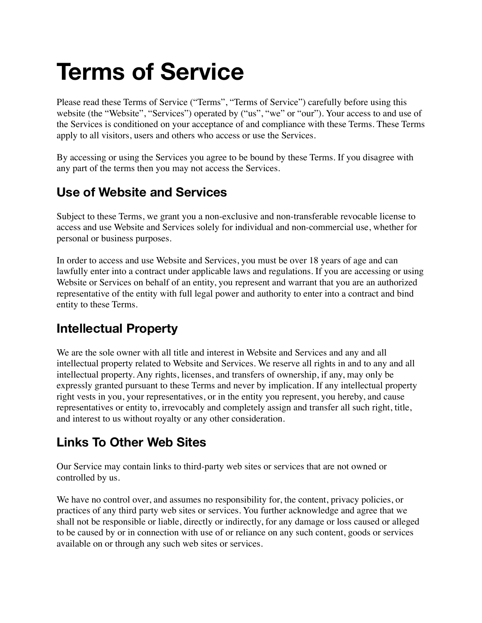# **Terms of Service**

Please read these Terms of Service ("Terms", "Terms of Service") carefully before using this website (the "Website", "Services") operated by ("us", "we" or "our"). Your access to and use of the Services is conditioned on your acceptance of and compliance with these Terms. These Terms apply to all visitors, users and others who access or use the Services.

By accessing or using the Services you agree to be bound by these Terms. If you disagree with any part of the terms then you may not access the Services.

## **Use of Website and Services**

Subject to these Terms, we grant you a non-exclusive and non-transferable revocable license to access and use Website and Services solely for individual and non-commercial use, whether for personal or business purposes.

In order to access and use Website and Services, you must be over 18 years of age and can lawfully enter into a contract under applicable laws and regulations. If you are accessing or using Website or Services on behalf of an entity, you represent and warrant that you are an authorized representative of the entity with full legal power and authority to enter into a contract and bind entity to these Terms.

#### **Intellectual Property**

We are the sole owner with all title and interest in Website and Services and any and all intellectual property related to Website and Services. We reserve all rights in and to any and all intellectual property. Any rights, licenses, and transfers of ownership, if any, may only be expressly granted pursuant to these Terms and never by implication. If any intellectual property right vests in you, your representatives, or in the entity you represent, you hereby, and cause representatives or entity to, irrevocably and completely assign and transfer all such right, title, and interest to us without royalty or any other consideration.

#### **Links To Other Web Sites**

Our Service may contain links to third-party web sites or services that are not owned or controlled by us.

We have no control over, and assumes no responsibility for, the content, privacy policies, or practices of any third party web sites or services. You further acknowledge and agree that we shall not be responsible or liable, directly or indirectly, for any damage or loss caused or alleged to be caused by or in connection with use of or reliance on any such content, goods or services available on or through any such web sites or services.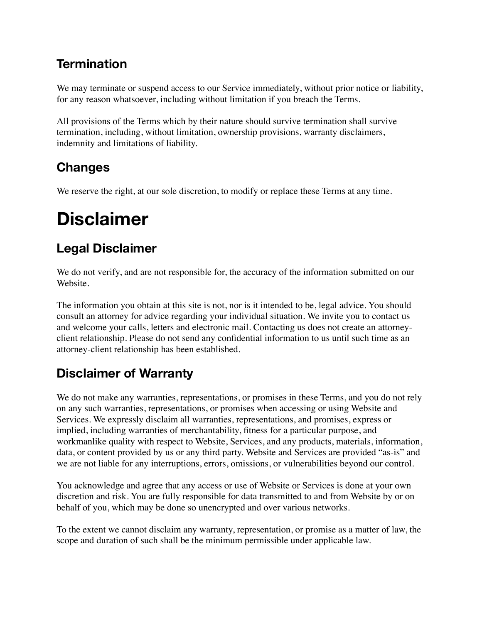## **Termination**

We may terminate or suspend access to our Service immediately, without prior notice or liability, for any reason whatsoever, including without limitation if you breach the Terms.

All provisions of the Terms which by their nature should survive termination shall survive termination, including, without limitation, ownership provisions, warranty disclaimers, indemnity and limitations of liability.

## **Changes**

We reserve the right, at our sole discretion, to modify or replace these Terms at any time.

# **Disclaimer**

## **Legal Disclaimer**

We do not verify, and are not responsible for, the accuracy of the information submitted on our Website.

The information you obtain at this site is not, nor is it intended to be, legal advice. You should consult an attorney for advice regarding your individual situation. We invite you to contact us and welcome your calls, letters and electronic mail. Contacting us does not create an attorneyclient relationship. Please do not send any confidential information to us until such time as an attorney-client relationship has been established.

# **Disclaimer of Warranty**

We do not make any warranties, representations, or promises in these Terms, and you do not rely on any such warranties, representations, or promises when accessing or using Website and Services. We expressly disclaim all warranties, representations, and promises, express or implied, including warranties of merchantability, fitness for a particular purpose, and workmanlike quality with respect to Website, Services, and any products, materials, information, data, or content provided by us or any third party. Website and Services are provided "as-is" and we are not liable for any interruptions, errors, omissions, or vulnerabilities beyond our control.

You acknowledge and agree that any access or use of Website or Services is done at your own discretion and risk. You are fully responsible for data transmitted to and from Website by or on behalf of you, which may be done so unencrypted and over various networks.

To the extent we cannot disclaim any warranty, representation, or promise as a matter of law, the scope and duration of such shall be the minimum permissible under applicable law.